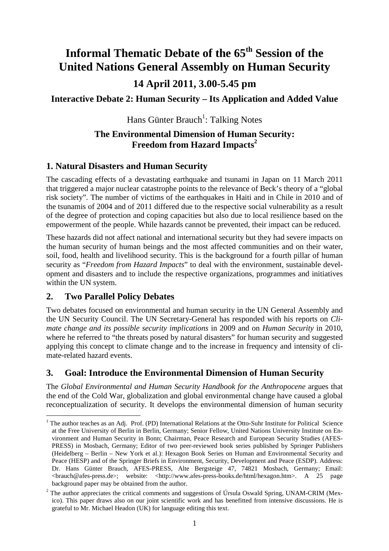# **Informal Thematic Debate of the 65th Session of the United Nations General Assembly on Human Security 14 April 2011, 3.00-5.45 pm**

**Interactive Debate 2: Human Security – Its Application and Added Value** 

Hans Günter Brauch<sup>1</sup>: Talking Notes

#### **The Environmental Dimension of Human Security: Freedom from Hazard Impacts<sup>2</sup>**

# **1. Natural Disasters and Human Security**

The cascading effects of a devastating earthquake and tsunami in Japan on 11 March 2011 that triggered a major nuclear catastrophe points to the relevance of Beck's theory of a "global risk society". The number of victims of the earthquakes in Haiti and in Chile in 2010 and of the tsunamis of 2004 and of 2011 differed due to the respective social vulnerability as a result of the degree of protection and coping capacities but also due to local resilience based on the empowerment of the people. While hazards cannot be prevented, their impact can be reduced.

These hazards did not affect national and international security but they had severe impacts on the human security of human beings and the most affected communities and on their water, soil, food, health and livelihood security. This is the background for a fourth pillar of human security as "*Freedom from Hazard Impacts*" to deal with the environment, sustainable development and disasters and to include the respective organizations, programmes and initiatives within the UN system.

#### **2. Two Parallel Policy Debates**

 $\overline{a}$ 

Two debates focused on environmental and human security in the UN General Assembly and the UN Security Council. The UN Secretary-General has responded with his reports on *Climate change and its possible security implications* in 2009 and on *Human Security* in 2010, where he referred to "the threats posed by natural disasters" for human security and suggested applying this concept to climate change and to the increase in frequency and intensity of climate-related hazard events.

# **3. Goal: Introduce the Environmental Dimension of Human Security**

The *Global Environmental and Human Security Handbook for the Anthropocene* argues that the end of the Cold War, globalization and global environmental change have caused a global reconceptualization of security. It develops the environmental dimension of human security

<sup>&</sup>lt;sup>1</sup> The author teaches as an Adj. Prof. (PD) International Relations at the Otto-Suhr Institute for Political Science at the Free University of Berlin in Berlin, Germany; Senior Fellow, United Nations University Institute on Environment and Human Security in Bonn; Chairman, Peace Research and European Security Studies (AFES-PRESS) in Mosbach, Germany; Editor of two peer-reviewed book series published by Springer Publishers (Heidelberg – Berlin – New York et al.): Hexagon Book Series on Human and Environmental Security and Peace (HESP) and of the Springer Briefs in Environment, Security, Development and Peace (ESDP). Address: Dr. Hans Günter Brauch, AFES-PRESS, Alte Bergsteige 47, 74821 Mosbach, Germany; Email: <brauch@afes-press.de>; website: <http://www.afes-press-books.de/html/hexagon.htm>. A 25 page background paper may be obtained from the author.

 $2$  The author appreciates the critical comments and suggestions of Úrsula Oswald Spring, UNAM-CRIM (Mexico). This paper draws also on our joint scientific work and has benefitted from intensive discussions. He is grateful to Mr. Michael Headon (UK) for language editing this text.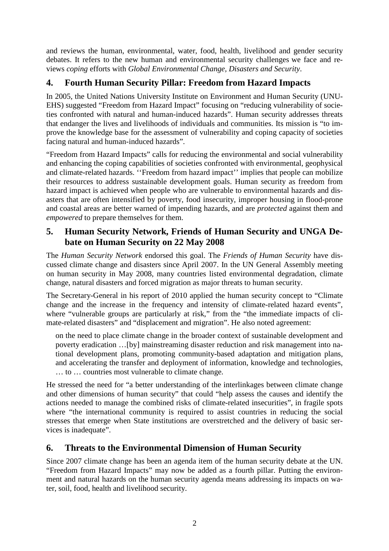and reviews the human, environmental, water, food, health, livelihood and gender security debates. It refers to the new human and environmental security challenges we face and reviews *coping* efforts with *Global Environmental Change, Disasters and Security*.

# **4. Fourth Human Security Pillar: Freedom from Hazard Impacts**

In 2005, the United Nations University Institute on Environment and Human Security (UNU-EHS) suggested "Freedom from Hazard Impact" focusing on "reducing vulnerability of societies confronted with natural and human-induced hazards". Human security addresses threats that endanger the lives and livelihoods of individuals and communities. Its mission is "to improve the knowledge base for the assessment of vulnerability and coping capacity of societies facing natural and human-induced hazards".

"Freedom from Hazard Impacts" calls for reducing the environmental and social vulnerability and enhancing the coping capabilities of societies confronted with environmental, geophysical and climate-related hazards. ''Freedom from hazard impact'' implies that people can mobilize their resources to address sustainable development goals. Human security as freedom from hazard impact is achieved when people who are vulnerable to environmental hazards and disasters that are often intensified by poverty, food insecurity, improper housing in flood-prone and coastal areas are better warned of impending hazards, and are *protected* against them and *empowered* to prepare themselves for them.

# **5. Human Security Network, Friends of Human Security and UNGA Debate on Human Security on 22 May 2008**

The *Human Security Network* endorsed this goal. The *Friends of Human Security* have discussed climate change and disasters since April 2007. In the UN General Assembly meeting on human security in May 2008, many countries listed environmental degradation, climate change, natural disasters and forced migration as major threats to human security.

The Secretary-General in his report of 2010 applied the human security concept to "Climate change and the increase in the frequency and intensity of climate-related hazard events", where "vulnerable groups are particularly at risk," from the "the immediate impacts of climate-related disasters" and "displacement and migration". He also noted agreement:

on the need to place climate change in the broader context of sustainable development and poverty eradication …[by] mainstreaming disaster reduction and risk management into national development plans, promoting community-based adaptation and mitigation plans, and accelerating the transfer and deployment of information, knowledge and technologies, … to … countries most vulnerable to climate change.

He stressed the need for "a better understanding of the interlinkages between climate change and other dimensions of human security" that could "help assess the causes and identify the actions needed to manage the combined risks of climate-related insecurities", in fragile spots where "the international community is required to assist countries in reducing the social stresses that emerge when State institutions are overstretched and the delivery of basic services is inadequate".

#### **6. Threats to the Environmental Dimension of Human Security**

Since 2007 climate change has been an agenda item of the human security debate at the UN. "Freedom from Hazard Impacts" may now be added as a fourth pillar. Putting the environment and natural hazards on the human security agenda means addressing its impacts on water, soil, food, health and livelihood security.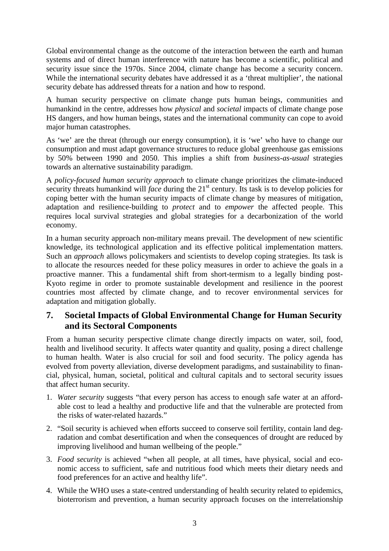Global environmental change as the outcome of the interaction between the earth and human systems and of direct human interference with nature has become a scientific, political and security issue since the 1970s. Since 2004, climate change has become a security concern. While the international security debates have addressed it as a 'threat multiplier', the national security debate has addressed threats for a nation and how to respond.

A human security perspective on climate change puts human beings, communities and humankind in the centre, addresses how *physical* and *societal* impacts of climate change pose HS dangers, and how human beings, states and the international community can cope to avoid major human catastrophes.

As 'we' are the threat (through our energy consumption), it is 'we' who have to change our consumption and must adapt governance structures to reduce global greenhouse gas emissions by 50% between 1990 and 2050. This implies a shift from *business-as-usual* strategies towards an alternative sustainability paradigm.

A *policy-focused human security approach* to climate change prioritizes the climate-induced security threats humankind will *face* during the 21<sup>st</sup> century. Its task is to develop policies for coping better with the human security impacts of climate change by measures of mitigation, adaptation and resilience-building to *protect* and to *empower* the affected people. This requires local survival strategies and global strategies for a decarbonization of the world economy.

In a human security approach non-military means prevail. The development of new scientific knowledge, its technological application and its effective political implementation matters. Such an *approach* allows policymakers and scientists to develop coping strategies. Its task is to allocate the resources needed for these policy measures in order to achieve the goals in a proactive manner. This a fundamental shift from short-termism to a legally binding post-Kyoto regime in order to promote sustainable development and resilience in the poorest countries most affected by climate change, and to recover environmental services for adaptation and mitigation globally.

#### **7. Societal Impacts of Global Environmental Change for Human Security and its Sectoral Components**

From a human security perspective climate change directly impacts on water, soil, food, health and livelihood security. It affects water quantity and quality, posing a direct challenge to human health. Water is also crucial for soil and food security. The policy agenda has evolved from poverty alleviation, diverse development paradigms, and sustainability to financial, physical, human, societal, political and cultural capitals and to sectoral security issues that affect human security.

- 1. *Water security* suggests "that every person has access to enough safe water at an affordable cost to lead a healthy and productive life and that the vulnerable are protected from the risks of water-related hazards."
- 2. "Soil security is achieved when efforts succeed to conserve soil fertility, contain land degradation and combat desertification and when the consequences of drought are reduced by improving livelihood and human wellbeing of the people."
- 3. *Food security* is achieved "when all people, at all times, have physical, social and economic access to sufficient, safe and nutritious food which meets their dietary needs and food preferences for an active and healthy life".
- 4. While the WHO uses a state-centred understanding of health security related to epidemics, bioterrorism and prevention, a human security approach focuses on the interrelationship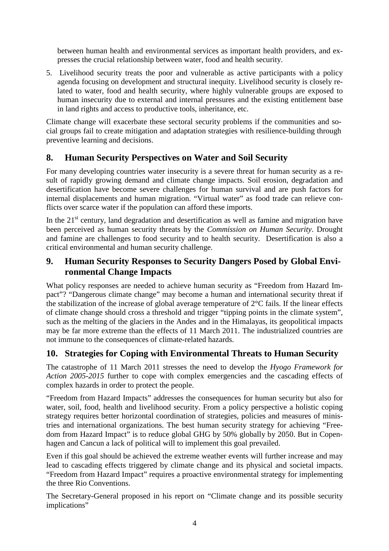between human health and environmental services as important health providers, and expresses the crucial relationship between water, food and health security.

5. Livelihood security treats the poor and vulnerable as active participants with a policy agenda focusing on development and structural inequity. Livelihood security is closely related to water, food and health security, where highly vulnerable groups are exposed to human insecurity due to external and internal pressures and the existing entitlement base in land rights and access to productive tools, inheritance, etc.

Climate change will exacerbate these sectoral security problems if the communities and social groups fail to create mitigation and adaptation strategies with resilience-building through preventive learning and decisions.

# **8. Human Security Perspectives on Water and Soil Security**

For many developing countries water insecurity is a severe threat for human security as a result of rapidly growing demand and climate change impacts. Soil erosion, degradation and desertification have become severe challenges for human survival and are push factors for internal displacements and human migration. "Virtual water" as food trade can relieve conflicts over scarce water if the population can afford these imports.

In the  $21<sup>st</sup>$  century, land degradation and desertification as well as famine and migration have been perceived as human security threats by the *Commission on Human Security*. Drought and famine are challenges to food security and to health security. Desertification is also a critical environmental and human security challenge.

# **9. Human Security Responses to Security Dangers Posed by Global Environmental Change Impacts**

What policy responses are needed to achieve human security as "Freedom from Hazard Impact"? "Dangerous climate change" may become a human and international security threat if the stabilization of the increase of global average temperature of 2°C fails. If the linear effects of climate change should cross a threshold and trigger "tipping points in the climate system", such as the melting of the glaciers in the Andes and in the Himalayas, its geopolitical impacts may be far more extreme than the effects of 11 March 2011. The industrialized countries are not immune to the consequences of climate-related hazards.

# **10. Strategies for Coping with Environmental Threats to Human Security**

The catastrophe of 11 March 2011 stresses the need to develop the *Hyogo Framework for Action 2005-2015* further to cope with complex emergencies and the cascading effects of complex hazards in order to protect the people.

"Freedom from Hazard Impacts" addresses the consequences for human security but also for water, soil, food, health and livelihood security. From a policy perspective a holistic coping strategy requires better horizontal coordination of strategies, policies and measures of ministries and international organizations. The best human security strategy for achieving "Freedom from Hazard Impact" is to reduce global GHG by 50% globally by 2050. But in Copenhagen and Cancun a lack of political will to implement this goal prevailed.

Even if this goal should be achieved the extreme weather events will further increase and may lead to cascading effects triggered by climate change and its physical and societal impacts. "Freedom from Hazard Impact" requires a proactive environmental strategy for implementing the three Rio Conventions.

The Secretary-General proposed in his report on "Climate change and its possible security implications"